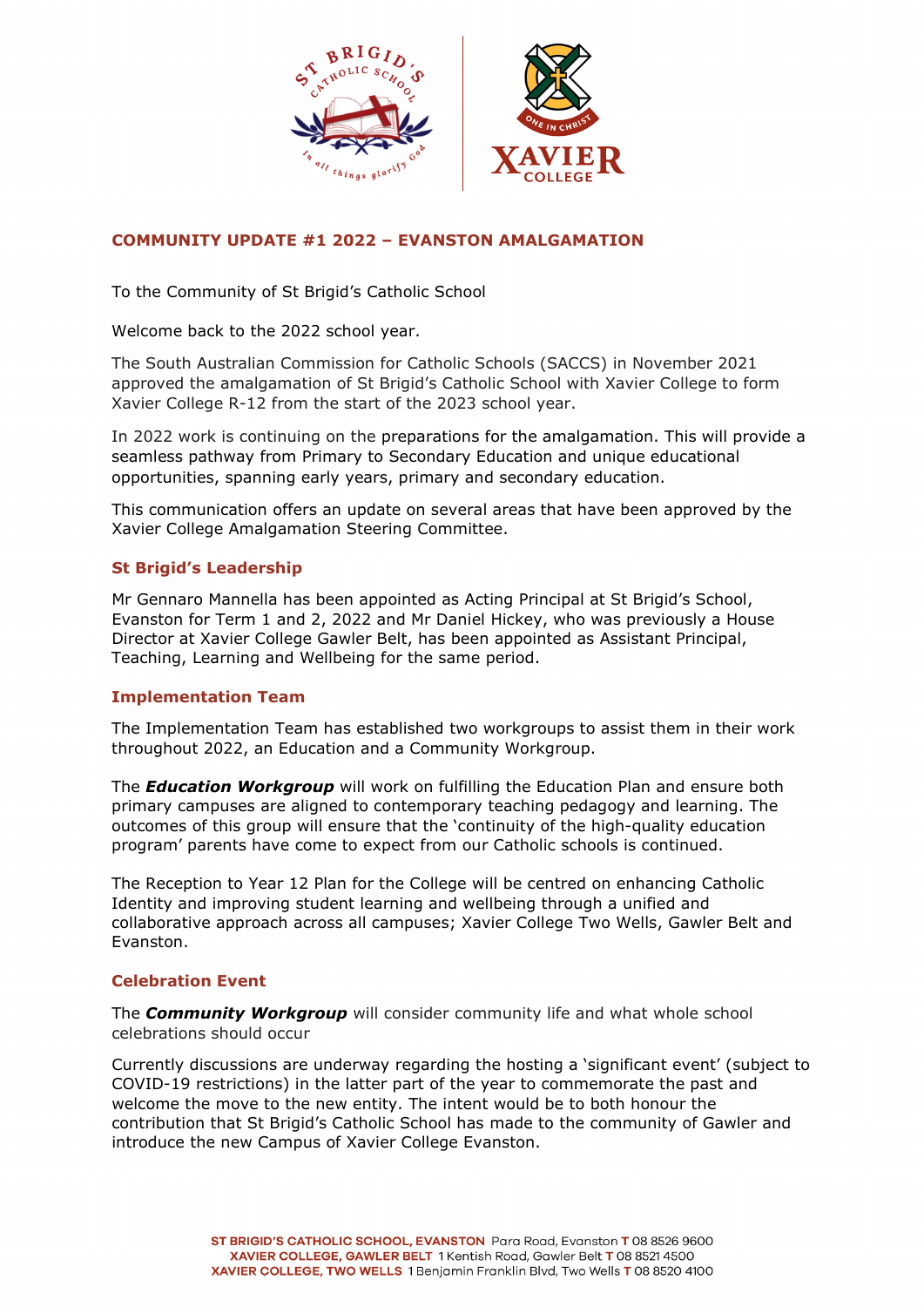

# **COMMUNITY UPDATE #1 2022 – EVANSTON AMALGAMATION**

To the Community of St Brigid's Catholic School

Welcome back to the 2022 school year.

The South Australian Commission for Catholic Schools (SACCS) in November 2021 approved the amalgamation of St Brigid's Catholic School with Xavier College to form Xavier College R-12 from the start of the 2023 school year.

In 2022 work is continuing on the preparations for the amalgamation. This will provide a seamless pathway from Primary to Secondary Education and unique educational opportunities, spanning early years, primary and secondary education.

This communication offers an update on several areas that have been approved by the Xavier College Amalgamation Steering Committee.

### **St Brigid's Leadership**

Mr Gennaro Mannella has been appointed as Acting Principal at St Brigid's School, Evanston for Term 1 and 2, 2022 and Mr Daniel Hickey, who was previously a House Director at Xavier College Gawler Belt, has been appointed as Assistant Principal, Teaching, Learning and Wellbeing for the same period.

### **Implementation Team**

The Implementation Team has established two workgroups to assist them in their work throughout 2022, an Education and a Community Workgroup.

The *Education Workgroup* will work on fulfilling the Education Plan and ensure both primary campuses are aligned to contemporary teaching pedagogy and learning. The outcomes of this group will ensure that the 'continuity of the high-quality education program' parents have come to expect from our Catholic schools is continued.

The Reception to Year 12 Plan for the College will be centred on enhancing Catholic Identity and improving student learning and wellbeing through a unified and collaborative approach across all campuses; Xavier College Two Wells, Gawler Belt and Evanston.

### **Celebration Event**

The *Community Workgroup* will consider community life and what whole school celebrations should occur

Currently discussions are underway regarding the hosting a 'significant event' (subject to COVID-19 restrictions) in the latter part of the year to commemorate the past and welcome the move to the new entity. The intent would be to both honour the contribution that St Brigid's Catholic School has made to the community of Gawler and introduce the new Campus of Xavier College Evanston.